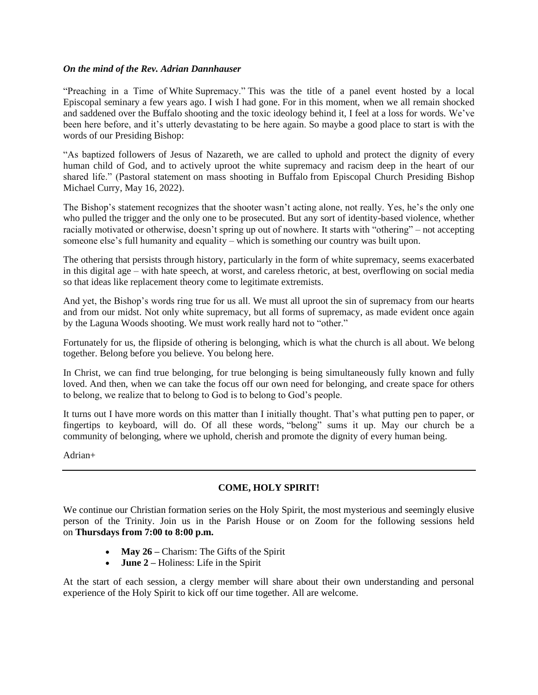## *On the mind of the Rev. Adrian Dannhauser*

"Preaching in a Time of White Supremacy." This was the title of a panel event hosted by a local Episcopal seminary a few years ago. I wish I had gone. For in this moment, when we all remain shocked and saddened over the Buffalo shooting and the toxic ideology behind it, I feel at a loss for words. We've been here before, and it's utterly devastating to be here again. So maybe a good place to start is with the words of our Presiding Bishop:

"As baptized followers of Jesus of Nazareth, we are called to uphold and protect the dignity of every human child of God, and to actively uproot the white supremacy and racism deep in the heart of our shared life." (Pastoral statement on mass shooting in Buffalo from Episcopal Church Presiding Bishop Michael Curry, May 16, 2022).

The Bishop's statement recognizes that the shooter wasn't acting alone, not really. Yes, he's the only one who pulled the trigger and the only one to be prosecuted. But any sort of identity-based violence, whether racially motivated or otherwise, doesn't spring up out of nowhere. It starts with "othering" – not accepting someone else's full humanity and equality – which is something our country was built upon.

The othering that persists through history, particularly in the form of white supremacy, seems exacerbated in this digital age – with hate speech, at worst, and careless rhetoric, at best, overflowing on social media so that ideas like replacement theory come to legitimate extremists.

And yet, the Bishop's words ring true for us all. We must all uproot the sin of supremacy from our hearts and from our midst. Not only white supremacy, but all forms of supremacy, as made evident once again by the Laguna Woods shooting. We must work really hard not to "other."

Fortunately for us, the flipside of othering is belonging, which is what the church is all about. We belong together. Belong before you believe. You belong here.

In Christ, we can find true belonging, for true belonging is being simultaneously fully known and fully loved. And then, when we can take the focus off our own need for belonging, and create space for others to belong, we realize that to belong to God is to belong to God's people.

It turns out I have more words on this matter than I initially thought. That's what putting pen to paper, or fingertips to keyboard, will do. Of all these words, "belong" sums it up. May our church be a community of belonging, where we uphold, cherish and promote the dignity of every human being.

Adrian+

# **COME, HOLY SPIRIT!**

We continue our Christian formation series on the Holy Spirit, the most mysterious and seemingly elusive person of the Trinity. Join us in the Parish House or on Zoom for the following sessions held on **Thursdays from 7:00 to 8:00 p.m.**

- **May 26** Charism: The Gifts of the Spirit
- **June 2 –** Holiness: Life in the Spirit

At the start of each session, a clergy member will share about their own understanding and personal experience of the Holy Spirit to kick off our time together. All are welcome.